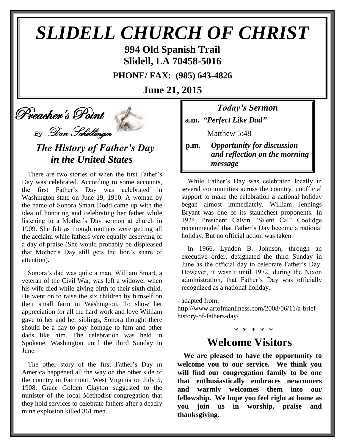# *SLIDELL CHURCH OF CHRIST* **994 Old Spanish Trail**

**Slidell, LA 70458-5016**

**PHONE/ FAX: (985) 643-4826**

**June 21, 2015**

# Preacher's Point

*By* Dan Schillinger

### *The History of Father's Day in the United States*

There are two stories of when the first Father's Day was celebrated. According to some accounts, the first Father's Day was celebrated in Washington state on June 19, 1910. A woman by the name of Sonora Smart Dodd came up with the idea of honoring and celebrating her father while listening to a Mother's Day sermon at church in 1909. She felt as though mothers were getting all the acclaim while fathers were equally deserving of a day of praise (She would probably be displeased that Mother's Day still gets the lion's share of attention).

Sonora's dad was quite a man. William Smart, a veteran of the Civil War, was left a widower when his wife died while giving birth to their sixth child. He went on to raise the six children by himself on their small farm in Washington. To show her appreciation for all the hard work and love William gave to her and her siblings, Sonora thought there should be a day to pay homage to him and other dads like him. The celebration was held in Spokane, Washington until the third Sunday in June.

The other story of the first Father's Day in America happened all the way on the other side of the country in Fairmont, West Virginia on July 5, 1908. Grace Golden Clayton suggested to the minister of the local Methodist congregation that they hold services to celebrate fathers after a deadly mine explosion killed 361 men.

*Today's Sermon* **a.m.** *"Perfect Like Dad"*

**Matthew 5:48** 

**p.m.** *Opportunity for discussion*  *and reflection on the morning message*

While Father's Day was celebrated locally in several communities across the country, unofficial support to make the celebration a national holiday began almost immediately. William Jennings Bryant was one of its staunchest proponents. In 1924, President Calvin "Silent Cal" Coolidge recommended that Father's Day become a national holiday. But no official action was taken.

In 1966, Lyndon B. Johnson, through an executive order, designated the third Sunday in June as the official day to celebrate Father's Day. However, it wasn't until 1972, during the Nixon administration, that Father's Day was officially recognized as a national holiday.

- adapted from:

http://www.artofmanliness.com/2008/06/11/a-briefhistory-of-fathers-day/

## \* \* \* \* \*

### **Welcome Visitors**

**We are pleased to have the opportunity to welcome you to our service. We think you will find our congregation family to be one that enthusiastically embraces newcomers and warmly welcomes them into our fellowship. We hope you feel right at home as you join us in worship, praise and thanksgiving.**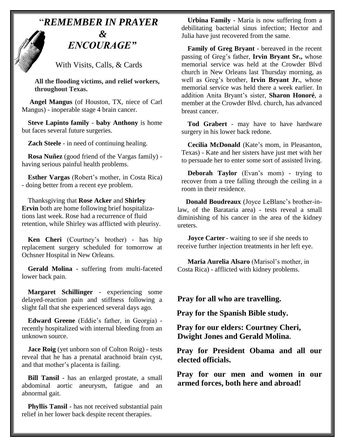## "*REMEMBER IN PRAYER &* " *ENCOURAGE"*

With Visits, Calls, & Cards

 **All the flooding victims, and relief workers, throughout Texas.**

**Angel Mangus** (of Houston, TX, niece of Carl Mangus) - inoperable stage 4 brain cancer.

**Steve Lapinto family** - **baby Anthony** is home but faces several future surgeries.

**Zach Steele** - in need of continuing healing.

**Rosa Nuñez** (good friend of the Vargas family) having serious painful health problems.

**Esther Vargas** (Robert's mother, in Costa Rica) - doing better from a recent eye problem.

Thanksgiving that **Rose Acker** and **Shirley Ervin** both are home following brief hospitalizations last week. Rose had a recurrence of fluid retention, while Shirley was afflicted with pleurisy.

**Ken Cheri** (Courtney's brother) - has hip replacement surgery scheduled for tomorrow at Ochsner Hospital in New Orleans.

**Gerald Molina** - suffering from multi-faceted lower back pain.

**Margaret Schillinger** - experiencing some delayed-reaction pain and stiffness following a slight fall that she experienced several days ago.

**Edward Greene** (Eddie's father, in Georgia) recently hospitalized with internal bleeding from an unknown source.

**Jace Roig** (yet unborn son of Colton Roig) - tests reveal that he has a prenatal arachnoid brain cyst, and that mother's placenta is failing.

**Bill Tansil** - has an enlarged prostate, a small abdominal aortic aneurysm, fatigue and an abnormal gait.

**Phyllis Tansil** - has not received substantial pain relief in her lower back despite recent therapies.

**Urbina Family** - Maria is now suffering from a debilitating bacterial sinus infection; Hector and Julia have just recovered from the same.

**Family of Greg Bryant** - bereaved in the recent passing of Greg's father, **Irvin Bryant Sr.,** whose memorial service was held at the Crowder Blvd church in New Orleans last Thursday morning, as well as Greg's brother, **Irvin Bryant Jr.**, whose memorial service was held there a week earlier. In addition Anita Bryant's sister, **Sharon Honoré**, a member at the Crowder Blvd. church, has advanced breast cancer.

**Tod Grabert** - may have to have hardware surgery in his lower back redone.

**Cecilia McDonald** (Kate's mom, in Pleasanton, Texas) - Kate and her sisters have just met with her to persuade her to enter some sort of assisted living.

**Deborah Taylor** (Evan's mom) - trying to recover from a tree falling through the ceiling in a room in their residence.

 **Donald Boudreaux** (Joyce LeBlanc's brother-inlaw, of the Barataria area) - tests reveal a small diminishing of his cancer in the area of the kidney ureters.

**Joyce Carter** - waiting to see if she needs to receive further injection treatments in her left eye.

 **Maria Aurelia Alsaro** (Marisol's mother, in Costa Rica) - afflicted with kidney problems.

**Pray for all who are travelling.**

**Pray for the Spanish Bible study.**

**Pray for our elders: Courtney Cheri, Dwight Jones and Gerald Molina.**

**Pray for President Obama and all our elected officials.**

**Pray for our men and women in our armed forces, both here and abroad!**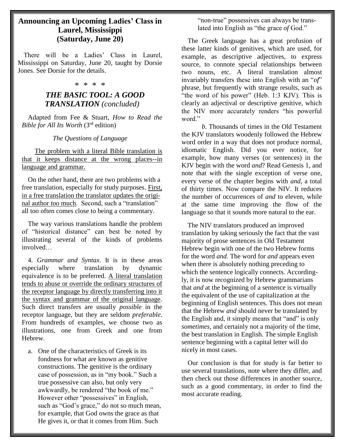### **Announcing an Upcoming Ladies' Class in Laurel, Mississippi (Saturday, June 20)**

 There will be a Ladies' Class in Laurel, Mississippi on Saturday, June 20, taught by Dorsie Jones. See Dorsie for the details.

#### \* \* \* \*

#### *THE BASIC TOOL: A GOOD TRANSLATION (concluded)*

Adapted from Fee & Stuart, *How to Read the Bible for All Its Worth* (3rd edition)

#### *The Questions of Language*

 The problem with a literal Bible translation is that it keeps distance at the wrong places--in language and grammar.

On the other hand, there are two problems with a free translation, especially for study purposes. First, in a free translation the translator updates the original author *too* much. Second, such a "translation" all too often comes close to being a commentary.

The way various translations handle the problem of "historical distance" can best be noted by illustrating several of the kinds of problems involved…

4. *Grammar and Syntax*. It is in these areas especially where translation by dynamic equivalence is to be preferred. A literal translation tends to abuse or override the ordinary structures of the receptor language by directly transferring into it the syntax and grammar of the original language. Such direct transfers are usually *possible* in the receptor language, but they are seldom *preferable*. From hundreds of examples, we choose two as illustrations, one from Greek and one from Hebrew.

a. One of the characteristics of Greek is its fondness for what are known as genitive constructions. The genitive is the ordinary case of possession, as in "my book." Such a true possessive can also, but only very awkwardly, be rendered "the book of me." However other "possessives" in English, such as "God's grace," do not so much mean, for example, that God owns the grace as that He gives it, or that it comes from Him. Such

"non-true" possessives can always be translated into English as "the grace *of* God."

The Greek language has a great profusion of these latter kinds of genitives, which are used, for example, as descriptive adjectives, to express source, to connote special relationships between two nouns, etc. A literal translation almost invariably transfers these into English with an "*of*" phrase, but frequently with strange results, such as "the word of his power" (Heb. 1:3 KJV). This is clearly an adjectival or descriptive genitive, which the NIV more accurately renders "his powerful word."

*b*. Thousands of times in the Old Testament the KJV translators woodenly followed the Hebrew word order in a way that does not produce normal, idiomatic English. Did you ever notice, for example, how many verses (or sentences) in the KJV begin with the word *and*? Read Genesis 1, and note that with the single exception of verse one, every verse of the chapter begins with *and*, a total of thirty times. Now compare the NIV. It reduces the number of occurrences of *and* to eleven, while at the same time improving the flow of the language so that it sounds more natural to the ear.

The NIV translators produced an improved translation by taking seriously the fact that the vast majority of prose sentences in Old Testament Hebrew begin with one of the two Hebrew forms for the word *and*. The word for *and* appears even when there is absolutely nothing preceding to which the sentence logically connects. Accordingly, it is now recognized by Hebrew grammarians that *and* at the beginning of a sentence is virtually the equivalent of the use of capitalization at the beginning of English sentences. This does not mean that the Hebrew *and* should never be translated by the English and, it simply means that "and" is only *sometimes*, and certainly not a majority of the time, the best translation in English. The simple English sentence beginning with a capital letter will do nicely in most cases.

Our conclusion is that for study is far better to use several translations, note where they differ, and then check out those differences in another source, such as a good commentary, in order to find the most accurate reading.